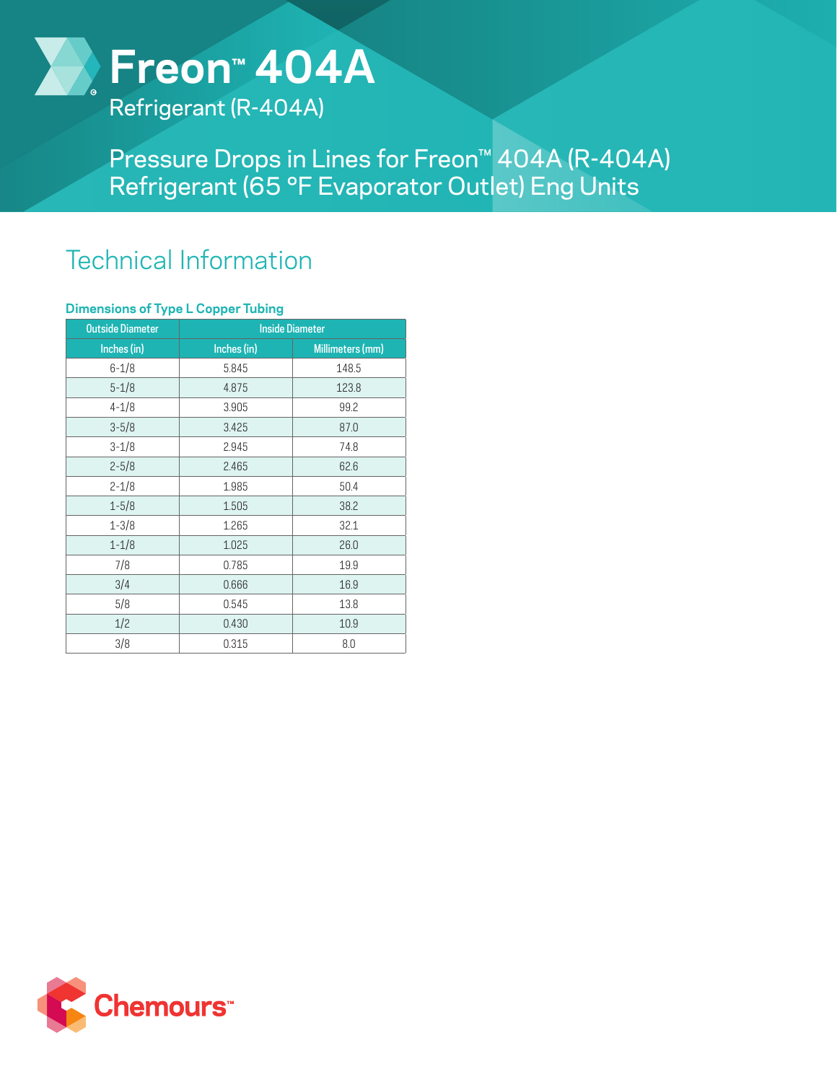

Refrigerant (R-404A)

Pressure Drops in Lines for Freon™ 404A (R-404A) Refrigerant (65 °F Evaporator Outlet) Eng Units

## Technical Information

## **Dimensions of Type L Copper Tubing**

| <b>Outside Diameter</b> | <b>Inside Diameter</b> |                  |
|-------------------------|------------------------|------------------|
| Inches (in)             | Inches (in)            | Millimeters (mm) |
| $6 - 1/8$               | 5.845                  | 148.5            |
| $5 - 1/8$               | 4.875                  | 123.8            |
| $4 - 1/8$               | 3.905                  | 99.2             |
| $3 - 5/8$               | 3.425                  | 87.0             |
| $3 - 1/8$               | 2.945                  | 74.8             |
| $2 - 5/8$               | 2.465                  | 62.6             |
| $2 - 1/8$               | 1.985                  | 50.4             |
| $1 - 5/8$               | 1.505                  | 38.2             |
| $1 - 3/8$               | 1.265                  | 32.1             |
| $1 - 1/8$               | 1.025                  | 26.0             |
| 7/8                     | 0.785                  | 19.9             |
| 3/4                     | 0.666                  | 16.9             |
| 5/8                     | 0.545                  | 13.8             |
| 1/2                     | 0.430                  | 10.9             |
| 3/8                     | 0.315                  | 8.0              |